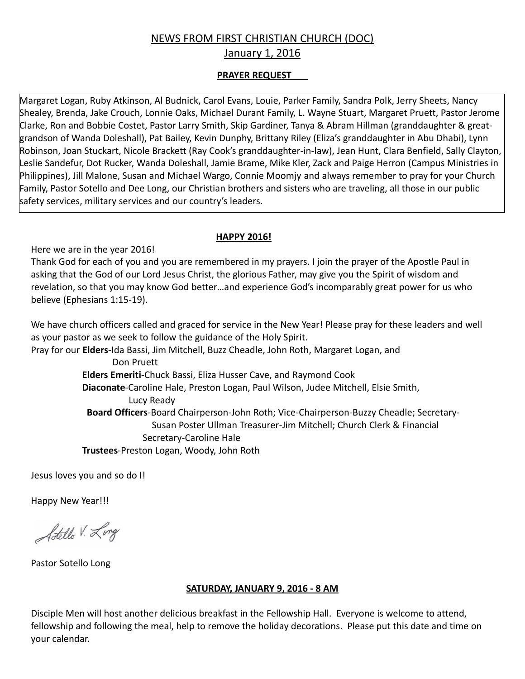# NEWS FROM FIRST CHRISTIAN CHURCH (DOC)

January 1, 2016

#### **PRAYER REQUEST**

Margaret Logan, Ruby Atkinson, Al Budnick, Carol Evans, Louie, Parker Family, Sandra Polk, Jerry Sheets, Nancy Shealey, Brenda, Jake Crouch, Lonnie Oaks, Michael Durant Family, L. Wayne Stuart, Margaret Pruett, Pastor Jerome Clarke, Ron and Bobbie Costet, Pastor Larry Smith, Skip Gardiner, Tanya & Abram Hillman (granddaughter & greatgrandson of Wanda Doleshall), Pat Bailey, Kevin Dunphy, Brittany Riley (Eliza's granddaughter in Abu Dhabi), Lynn Robinson, Joan Stuckart, Nicole Brackett (Ray Cook's granddaughter-in-law), Jean Hunt, Clara Benfield, Sally Clayton, Leslie Sandefur, Dot Rucker, Wanda Doleshall, Jamie Brame, Mike Kler, Zack and Paige Herron (Campus Ministries in Philippines), Jill Malone, Susan and Michael Wargo, Connie Moomjy and always remember to pray for your Church Family, Pastor Sotello and Dee Long, our Christian brothers and sisters who are traveling, all those in our public safety services, military services and our country's leaders.

#### **HAPPY 2016!**

Here we are in the year 2016!

Thank God for each of you and you are remembered in my prayers. I join the prayer of the Apostle Paul in asking that the God of our Lord Jesus Christ, the glorious Father, may give you the Spirit of wisdom and revelation, so that you may know God better…and experience God's incomparably great power for us who believe (Ephesians 1:15-19).

We have church officers called and graced for service in the New Year! Please pray for these leaders and well as your pastor as we seek to follow the guidance of the Holy Spirit.

Pray for our **Elders**-Ida Bassi, Jim Mitchell, Buzz Cheadle, John Roth, Margaret Logan, and Don Pruett

 **Elders Emeriti**-Chuck Bassi, Eliza Husser Cave, and Raymond Cook **Diaconate**-Caroline Hale, Preston Logan, Paul Wilson, Judee Mitchell, Elsie Smith, Lucy Ready **Board Officers**-Board Chairperson-John Roth; Vice-Chairperson-Buzzy Cheadle; Secretary- Susan Poster Ullman Treasurer-Jim Mitchell; Church Clerk & Financial Secretary-Caroline Hale **Trustees**-Preston Logan, Woody, John Roth

Jesus loves you and so do I!

Happy New Year!!!

Adello V. Long

Pastor Sotello Long

#### **SATURDAY, JANUARY 9, 2016 - 8 AM**

Disciple Men will host another delicious breakfast in the Fellowship Hall. Everyone is welcome to attend, fellowship and following the meal, help to remove the holiday decorations. Please put this date and time on your calendar.